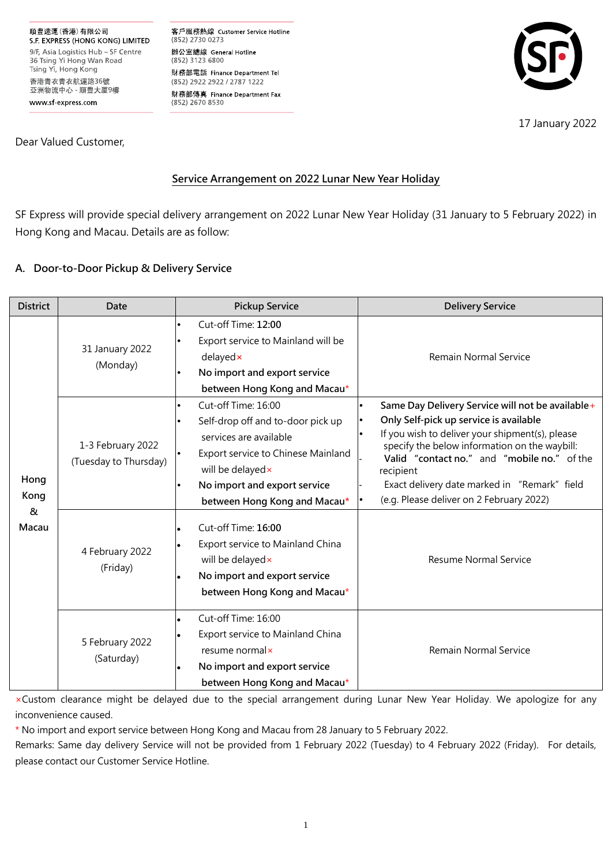順豐速運(香港)有限公司 S.F. EXPRESS (HONG KONG) LIMITED 9/F, Asia Logistics Hub - SF Centre 36 Tsing Yi Hong Wan Road Tsing Yi, Hong Kong 香港青衣青衣航運路36號 亞洲物流中心 - 順豐大厦9樓 www sf-express com

客戶服務熱線 Customer Service Hotline (852) 2730 0273 辦公室總線 General Hotline (852) 3123 6800 財務部電話 Finance Department Tel (852) 2922 2922 / 2787 1222 財務部傳真 Finance Department Fax (852) 2670 8530



17 January 2022

Dear Valued Customer,

# **Service Arrangement on 2022 Lunar New Year Holiday**

SF Express will provide special delivery arrangement on 2022 Lunar New Year Holiday (31 January to 5 February 2022) in Hong Kong and Macau. Details are as follow:

# **A. Door-to-Door Pickup & Delivery Service**

| <b>District</b>            | Date                                       | <b>Pickup Service</b>                                                                                                                                                                                                                | <b>Delivery Service</b>                                                                                                                                                                                                                                                                                                                                |
|----------------------------|--------------------------------------------|--------------------------------------------------------------------------------------------------------------------------------------------------------------------------------------------------------------------------------------|--------------------------------------------------------------------------------------------------------------------------------------------------------------------------------------------------------------------------------------------------------------------------------------------------------------------------------------------------------|
| Hong<br>Kong<br>&<br>Macau | 31 January 2022<br>(Monday)                | Cut-off Time: 12:00<br>Export service to Mainland will be<br>delayedx<br>No import and export service<br>between Hong Kong and Macau*                                                                                                | Remain Normal Service                                                                                                                                                                                                                                                                                                                                  |
|                            | 1-3 February 2022<br>(Tuesday to Thursday) | Cut-off Time: 16:00<br>Self-drop off and to-door pick up<br>services are available<br>Export service to Chinese Mainland<br>will be delayed x<br>No import and export service<br>between Hong Kong and Macau*<br>Cut-off Time: 16:00 | Same Day Delivery Service will not be available+<br>Only Self-pick up service is available<br>If you wish to deliver your shipment(s), please<br>specify the below information on the waybill:<br>Valid "contact no." and "mobile no." of the<br>recipient<br>Exact delivery date marked in "Remark" field<br>(e.g. Please deliver on 2 February 2022) |
|                            | 4 February 2022<br>(Friday)                | Export service to Mainland China<br>will be delayed x<br>No import and export service<br>between Hong Kong and Macau*                                                                                                                | <b>Resume Normal Service</b>                                                                                                                                                                                                                                                                                                                           |
|                            | 5 February 2022<br>(Saturday)              | Cut-off Time: 16:00<br>Export service to Mainland China<br>resume normal×<br>No import and export service<br>between Hong Kong and Macau*                                                                                            | <b>Remain Normal Service</b>                                                                                                                                                                                                                                                                                                                           |

×Custom clearance might be delayed due to the special arrangement during Lunar New Year Holiday. We apologize for any inconvenience caused.

\* No import and export service between Hong Kong and Macau from 28 January to 5 February 2022.

Remarks: Same day delivery Service will not be provided from 1 February 2022 (Tuesday) to 4 February 2022 (Friday). For details, please contact our Customer Service Hotline.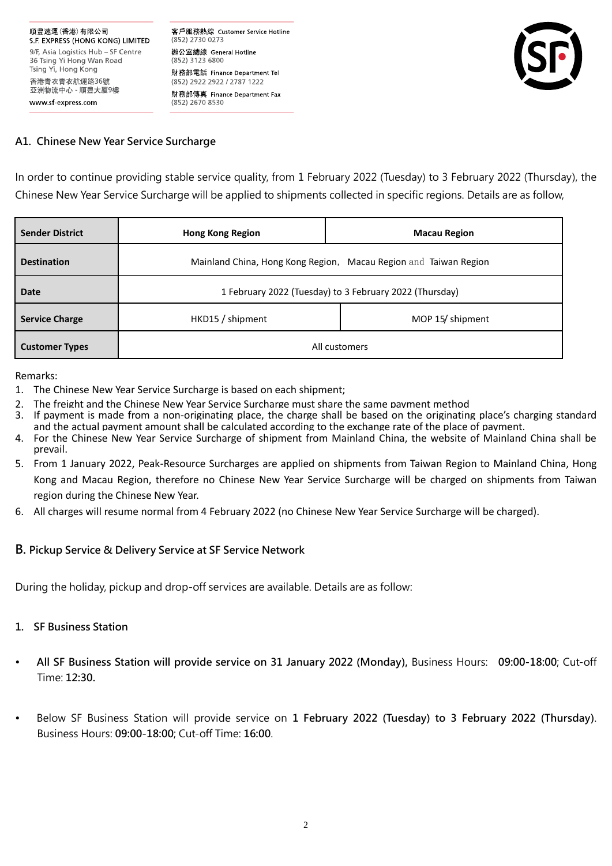客戶服務熱線 Customer Service Hotline (852) 2730 0273 辦公室總線 General Hotline (852) 3123 6800 財務部電話 Finance Department Tel (852) 2922 2922 / 2787 1222 財務部傳真 Finance Department Fax (852) 2670 8530



#### **A1. Chinese New Year Service Surcharge**

In order to continue providing stable service quality, from 1 February 2022 (Tuesday) to 3 February 2022 (Thursday), the Chinese New Year Service Surcharge will be applied to shipments collected in specific regions. Details are as follow,

| <b>Sender District</b> | <b>Hong Kong Region</b>                                 | <b>Macau Region</b>                                              |  |
|------------------------|---------------------------------------------------------|------------------------------------------------------------------|--|
| <b>Destination</b>     |                                                         | Mainland China, Hong Kong Region, Macau Region and Taiwan Region |  |
| <b>Date</b>            | 1 February 2022 (Tuesday) to 3 February 2022 (Thursday) |                                                                  |  |
| <b>Service Charge</b>  | MOP 15/ shipment<br>HKD15 / shipment                    |                                                                  |  |
| <b>Customer Types</b>  | All customers                                           |                                                                  |  |

#### Remarks:

- 1. The Chinese New Year Service Surcharge is based on each shipment;
- 2. The freight and the Chinese New Year Service Surcharge must share the same payment method
- 3. If payment is made from a non-originating place, the charge shall be based on the originating place's charging standard and the actual payment amount shall be calculated according to the exchange rate of the place of payment.
- 4. For the Chinese New Year Service Surcharge of shipment from Mainland China, the website of Mainland China shall be prevail.
- 5. From 1 January 2022, Peak-Resource Surcharges are applied on shipments from Taiwan Region to Mainland China, Hong Kong and Macau Region, therefore no Chinese New Year Service Surcharge will be charged on shipments from Taiwan region during the Chinese New Year.
- 6. All charges will resume normal from 4 February 2022 (no Chinese New Year Service Surcharge will be charged).

#### **B. Pickup Service & Delivery Service at SF Service Network**

During the holiday, pickup and drop-off services are available. Details are as follow:

# **1. SF Business Station**

- **All SF Business Station will provide service on 31 January 2022 (Monday),** Business Hours: **09:00-18:00**; Cut-off Time: **12:30.**
- Below SF Business Station will provide service on **1 February 2022 (Tuesday) to 3 February 2022 (Thursday)**. Business Hours: **09:00-18:00**; Cut-off Time: **16:00**.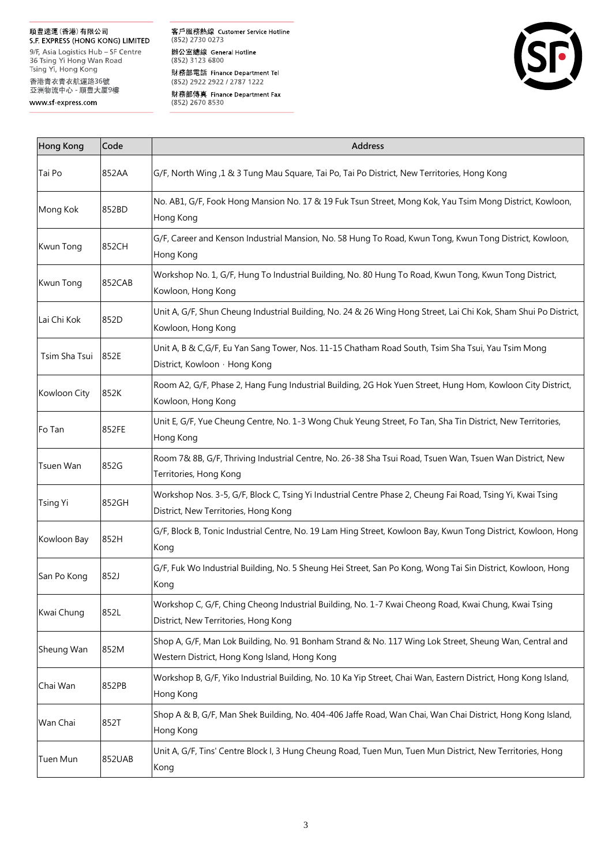## 順豐速運(香港)有限公司

S.F. EXPRESS (HONG KONG) LIMITED 9/F, Asia Logistics Hub - SF Centre 36 Tsing Yi Hong Wan Road<br>Tsing Yi Hong Wan Road<br>Tsing Yi, Hong Kong 香港青衣青衣航運路36號<br>亞洲物流中心 - 順豐大厦9樓

www sf-express.com

客戶服務熱線 Customer Service Hotline  $(852)$  2730 0273 辦公室總線 General Hotline<br>(852) 3123 6800 財務部電話 Finance Department Tel (852) 2922 2922 / 2787 1222 財務部傳真 Finance Department Fax<br>(852) 2670 8530



| <b>Hong Kong</b><br>Code |        | Address                                                                                                                                                 |  |  |
|--------------------------|--------|---------------------------------------------------------------------------------------------------------------------------------------------------------|--|--|
| Tai Po                   | 852AA  | G/F, North Wing ,1 & 3 Tung Mau Square, Tai Po, Tai Po District, New Territories, Hong Kong                                                             |  |  |
| Mong Kok                 | 852BD  | No. AB1, G/F, Fook Hong Mansion No. 17 & 19 Fuk Tsun Street, Mong Kok, Yau Tsim Mong District, Kowloon,<br>Hong Kong                                    |  |  |
| Kwun Tong                | 852CH  | G/F, Career and Kenson Industrial Mansion, No. 58 Hung To Road, Kwun Tong, Kwun Tong District, Kowloon,<br>Hong Kong                                    |  |  |
| Kwun Tong                | 852CAB | Workshop No. 1, G/F, Hung To Industrial Building, No. 80 Hung To Road, Kwun Tong, Kwun Tong District,<br>Kowloon, Hong Kong                             |  |  |
| Lai Chi Kok              | 852D   | Unit A, G/F, Shun Cheung Industrial Building, No. 24 & 26 Wing Hong Street, Lai Chi Kok, Sham Shui Po District,<br>Kowloon, Hong Kong                   |  |  |
| Tsim Sha Tsui            | 852E   | Unit A, B & C,G/F, Eu Yan Sang Tower, Nos. 11-15 Chatham Road South, Tsim Sha Tsui, Yau Tsim Mong<br>District, Kowloon · Hong Kong                      |  |  |
| Kowloon City             | 852K   | Room A2, G/F, Phase 2, Hang Fung Industrial Building, 2G Hok Yuen Street, Hung Hom, Kowloon City District,<br>Kowloon, Hong Kong                        |  |  |
| Fo Tan                   | 852FE  | Unit E, G/F, Yue Cheung Centre, No. 1-3 Wong Chuk Yeung Street, Fo Tan, Sha Tin District, New Territories,<br>Hong Kong                                 |  |  |
| Tsuen Wan                | 852G   | Room 7& 8B, G/F, Thriving Industrial Centre, No. 26-38 Sha Tsui Road, Tsuen Wan, Tsuen Wan District, New<br>Territories, Hong Kong                      |  |  |
| <b>Tsing Yi</b>          | 852GH  | Workshop Nos. 3-5, G/F, Block C, Tsing Yi Industrial Centre Phase 2, Cheung Fai Road, Tsing Yi, Kwai Tsing<br>District, New Territories, Hong Kong      |  |  |
| Kowloon Bay              | 852H   | G/F, Block B, Tonic Industrial Centre, No. 19 Lam Hing Street, Kowloon Bay, Kwun Tong District, Kowloon, Hong<br>Kong                                   |  |  |
| San Po Kong              | 852J   | G/F, Fuk Wo Industrial Building, No. 5 Sheung Hei Street, San Po Kong, Wong Tai Sin District, Kowloon, Hong<br>Kong                                     |  |  |
| Kwai Chung               | 852L   | Workshop C, G/F, Ching Cheong Industrial Building, No. 1-7 Kwai Cheong Road, Kwai Chung, Kwai Tsing<br>District, New Territories, Hong Kong             |  |  |
| Sheung Wan               | 852M   | Shop A, G/F, Man Lok Building, No. 91 Bonham Strand & No. 117 Wing Lok Street, Sheung Wan, Central and<br>Western District, Hong Kong Island, Hong Kong |  |  |
| Chai Wan                 | 852PB  | Workshop B, G/F, Yiko Industrial Building, No. 10 Ka Yip Street, Chai Wan, Eastern District, Hong Kong Island,<br>Hong Kong                             |  |  |
| Wan Chai                 | 852T   | Shop A & B, G/F, Man Shek Building, No. 404-406 Jaffe Road, Wan Chai, Wan Chai District, Hong Kong Island,<br>Hong Kong                                 |  |  |
| Tuen Mun                 | 852UAB | Unit A, G/F, Tins' Centre Block I, 3 Hung Cheung Road, Tuen Mun, Tuen Mun District, New Territories, Hong<br>Kong                                       |  |  |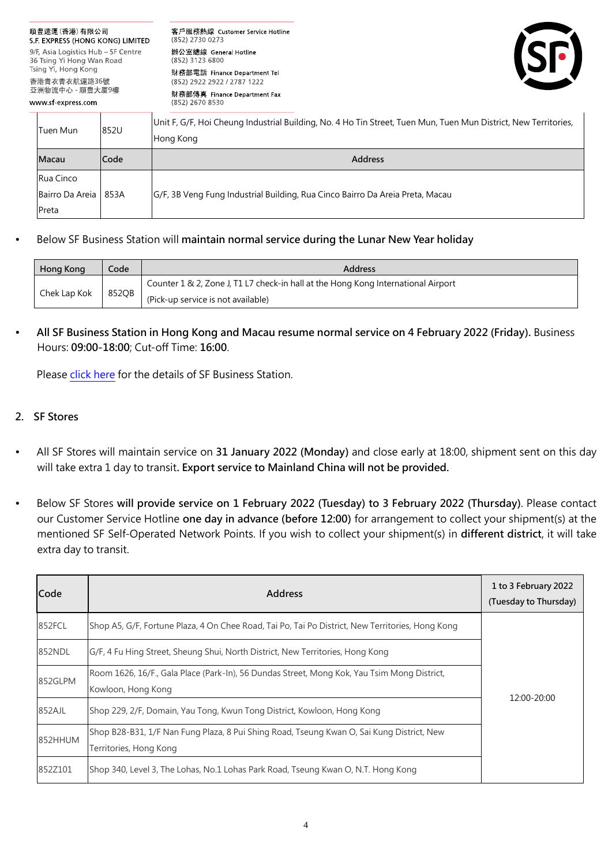| 順豐速運(香港)有限公司<br>S F EXPRESS (HONG KONG) LIMITED                                                                            |                    |             | 客戶服務熱線 Customer Service Hotline<br>(852) 2730 0273                                                                           |  |  |
|----------------------------------------------------------------------------------------------------------------------------|--------------------|-------------|------------------------------------------------------------------------------------------------------------------------------|--|--|
| 9/F, Asia Logistics Hub - SF Centre<br>36 Tsing Yi Hong Wan Road<br>Tsing Yi, Hong Kong<br>香港青衣青衣航運路36號<br>亞洲物流中心 - 順豐大厦9樓 |                    |             | 辦公室總線 General Hotline<br>(852) 3123 6800                                                                                     |  |  |
|                                                                                                                            |                    |             | 財務部電話 Finance Department Tel<br>(852) 2922 2922 / 2787 1222                                                                  |  |  |
|                                                                                                                            | www sf express com |             | 財務部傳真 Finance Department Fax<br>(852) 2670 8530                                                                              |  |  |
|                                                                                                                            | Tuen Mun           | 852U        | Unit F, G/F, Hoi Cheung Industrial Building, No. 4 Ho Tin Street, Tuen Mun, Tuen Mun District, New Territories,<br>Hong Kong |  |  |
|                                                                                                                            | Macau              | <b>Code</b> | <b>Address</b>                                                                                                               |  |  |
|                                                                                                                            | Rua Cinco          |             |                                                                                                                              |  |  |
|                                                                                                                            | Bairro Da Areia I  | 853A        | G/F, 3B Veng Fung Industrial Building, Rua Cinco Bairro Da Areia Preta, Macau                                                |  |  |
|                                                                                                                            | Preta              |             |                                                                                                                              |  |  |

Below SF Business Station will **maintain normal service during the Lunar New Year holiday**

| Hong Kong    | Code  | <b>Address</b>                                                                    |
|--------------|-------|-----------------------------------------------------------------------------------|
| Chek Lap Kok | 852OB | Counter 1 & 2, Zone J, T1 L7 check-in hall at the Hong Kong International Airport |
|              |       | (Pick-up service is not available)                                                |

 **All SF Business Station in Hong Kong and Macau resume normal service on 4 February 2022 (Friday).** Business Hours: **09:00-18:00**; Cut-off Time: **16:00**.

Please [click here](https://htm.sf-express.com/hk/en/dynamic_function/S.F.Network/SF_business_station_address/) for the details of SF Business Station.

## **2. SF Stores**

- All SF Stores will maintain service on **31 January 2022 (Monday)** and close early at 18:00, shipment sent on this day will take extra 1 day to transit**. Export service to Mainland China will not be provided.**
- Below SF Stores **will provide service on 1 February 2022 (Tuesday) to 3 February 2022 (Thursday)**. Please contact our Customer Service Hotline **one day in advance (before 12:00)** for arrangement to collect your shipment(s) at the mentioned SF Self-Operated Network Points. If you wish to collect your shipment(s) in **different district**, it will take extra day to transit.

| Code    | <b>Address</b>                                                                                                      | 1 to 3 February 2022<br>(Tuesday to Thursday) |
|---------|---------------------------------------------------------------------------------------------------------------------|-----------------------------------------------|
| 852FCL  | Shop A5, G/F, Fortune Plaza, 4 On Chee Road, Tai Po, Tai Po District, New Territories, Hong Kong                    |                                               |
| 852NDL  | G/F, 4 Fu Hing Street, Sheung Shui, North District, New Territories, Hong Kong                                      | 12:00-20:00                                   |
| 852GLPM | Room 1626, 16/F., Gala Place (Park-In), 56 Dundas Street, Mong Kok, Yau Tsim Mong District,<br>Kowloon, Hong Kong   |                                               |
| 852AJL  | Shop 229, 2/F, Domain, Yau Tong, Kwun Tong District, Kowloon, Hong Kong                                             |                                               |
| 852HHUM | Shop B28-B31, 1/F Nan Fung Plaza, 8 Pui Shing Road, Tseung Kwan O, Sai Kung District, New<br>Territories, Hong Kong |                                               |
| 852Z101 | Shop 340, Level 3, The Lohas, No.1 Lohas Park Road, Tseung Kwan O, N.T. Hong Kong                                   |                                               |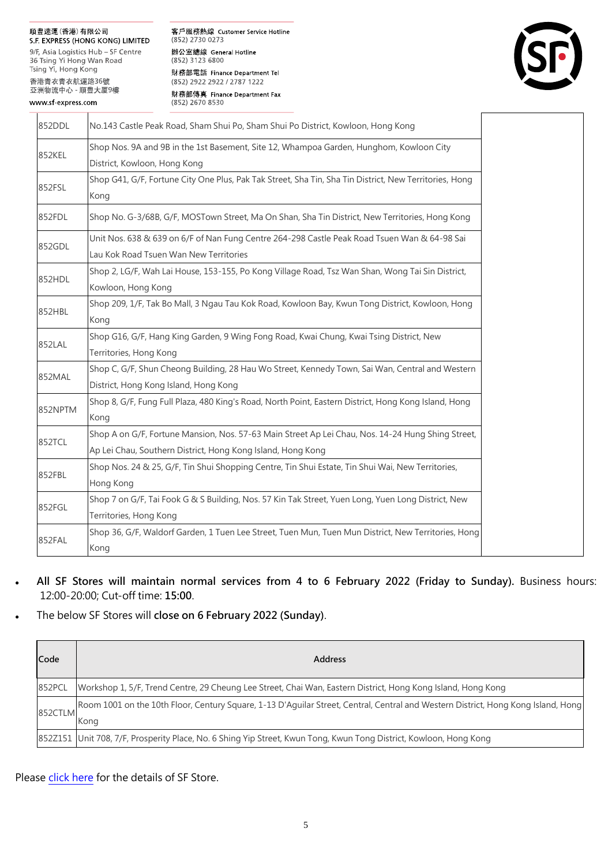## 順豐速運(香港)有限公司

S.F. EXPRESS (HONG KONG) LIMITED 9/F, Asia Logistics Hub - SF Centre 36 Tsing Yi Hong Wan Road Tsing Yi, Hong Kong 香港青衣青衣航運路36號 亞洲物流中心 - 順豐大厦9樓

www sf-express com

客戶服務熱線 Customer Service Hotline (852) 2730 0273 辦公室總線 General Hotline (852) 3123 6800 財務部電話 Finance Department Tel (852) 2922 2922 / 2787 1222 財務部傳真 Finance Department Fax  $(852)$  2670 8530



| 852DDL  | No.143 Castle Peak Road, Sham Shui Po, Sham Shui Po District, Kowloon, Hong Kong                                                                                 |  |
|---------|------------------------------------------------------------------------------------------------------------------------------------------------------------------|--|
| 852KEL  | Shop Nos. 9A and 9B in the 1st Basement, Site 12, Whampoa Garden, Hunghom, Kowloon City<br>District, Kowloon, Hong Kong                                          |  |
| 852FSL  | Shop G41, G/F, Fortune City One Plus, Pak Tak Street, Sha Tin, Sha Tin District, New Territories, Hong<br>Kong                                                   |  |
| 852FDL  | Shop No. G-3/68B, G/F, MOSTown Street, Ma On Shan, Sha Tin District, New Territories, Hong Kong                                                                  |  |
| 852GDL  | Unit Nos. 638 & 639 on 6/F of Nan Fung Centre 264-298 Castle Peak Road Tsuen Wan & 64-98 Sai<br>Lau Kok Road Tsuen Wan New Territories                           |  |
| 852HDL  | Shop 2, LG/F, Wah Lai House, 153-155, Po Kong Village Road, Tsz Wan Shan, Wong Tai Sin District,<br>Kowloon, Hong Kong                                           |  |
| 852HBL  | Shop 209, 1/F, Tak Bo Mall, 3 Ngau Tau Kok Road, Kowloon Bay, Kwun Tong District, Kowloon, Hong<br>Kong                                                          |  |
| 852LAL  | Shop G16, G/F, Hang King Garden, 9 Wing Fong Road, Kwai Chung, Kwai Tsing District, New<br>Territories, Hong Kong                                                |  |
| 852MAL  | Shop C, G/F, Shun Cheong Building, 28 Hau Wo Street, Kennedy Town, Sai Wan, Central and Western<br>District, Hong Kong Island, Hong Kong                         |  |
| 852NPTM | Shop 8, G/F, Fung Full Plaza, 480 King's Road, North Point, Eastern District, Hong Kong Island, Hong<br>Kong                                                     |  |
| 852TCL  | Shop A on G/F, Fortune Mansion, Nos. 57-63 Main Street Ap Lei Chau, Nos. 14-24 Hung Shing Street,<br>Ap Lei Chau, Southern District, Hong Kong Island, Hong Kong |  |
| 852FBL  | Shop Nos. 24 & 25, G/F, Tin Shui Shopping Centre, Tin Shui Estate, Tin Shui Wai, New Territories,<br>Hong Kong                                                   |  |
| 852FGL  | Shop 7 on G/F, Tai Fook G & S Building, Nos. 57 Kin Tak Street, Yuen Long, Yuen Long District, New<br>Territories, Hong Kong                                     |  |
| 852FAL  | Shop 36, G/F, Waldorf Garden, 1 Tuen Lee Street, Tuen Mun, Tuen Mun District, New Territories, Hong<br>Kong                                                      |  |

- **All SF Stores will maintain normal services from 4 to 6 February 2022 (Friday to Sunday).** Business hours: 12:00-20:00; Cut-off time: **15:00**.
- The below SF Stores will **close on 6 February 2022 (Sunday)**.

| Code    | <b>Address</b>                                                                                                                             |
|---------|--------------------------------------------------------------------------------------------------------------------------------------------|
| 852PCL  | Workshop 1, 5/F, Trend Centre, 29 Cheung Lee Street, Chai Wan, Eastern District, Hong Kong Island, Hong Kong                               |
| 852CTLM | [Room 1001 on the 10th Floor, Century Square, 1-13 D'Aguilar Street, Central, Central and Western District, Hong Kong Island, Hong<br>Kong |
|         | 852Z151 Unit 708, 7/F, Prosperity Place, No. 6 Shing Yip Street, Kwun Tong, Kwun Tong District, Kowloon, Hong Kong                         |

Please [click here](https://htm.sf-express.com/hk/en/dynamic_function/S.F.Network/SF_store_address/) for the details of SF Store.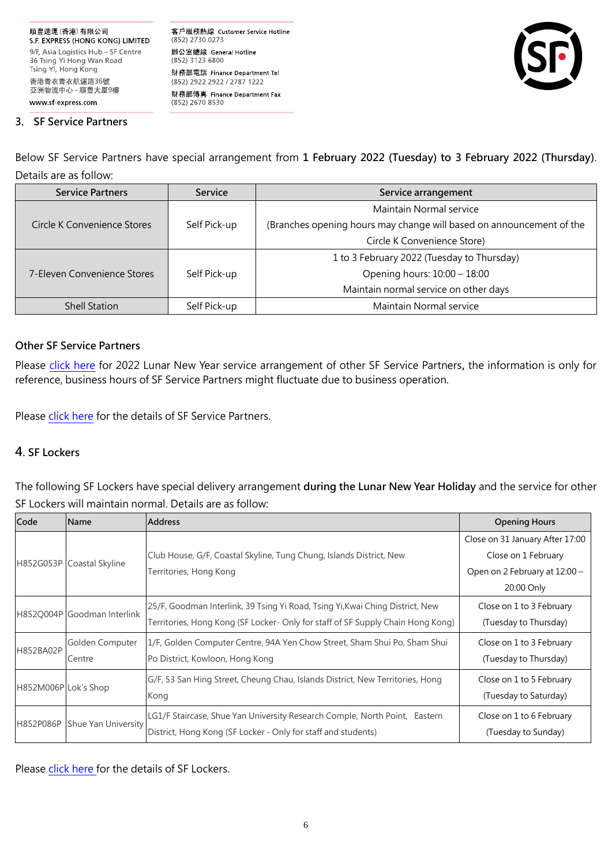客戶服務熱線 Customer Service Hotline (852) 2730 0273 辦公室總線 General Hotline (852) 3123 6800 財務部電話 Finance Department Tel (852) 2922 2922 / 2787 1222 財務部傳真 Finance Department Fax (852) 2670 8530



#### **3. SF Service Partners**

Below SF Service Partners have special arrangement from **1 February 2022 (Tuesday) to 3 February 2022 (Thursday)**. Details are as follow:

| <b>Service Partners</b>     | <b>Service</b> | Service arrangement                                                  |  |
|-----------------------------|----------------|----------------------------------------------------------------------|--|
|                             |                | Maintain Normal service                                              |  |
| Circle K Convenience Stores | Self Pick-up   | (Branches opening hours may change will based on announcement of the |  |
|                             |                | Circle K Convenience Store)                                          |  |
|                             |                | 1 to 3 February 2022 (Tuesday to Thursday)                           |  |
| 7-Eleven Convenience Stores | Self Pick-up   | Opening hours: 10:00 - 18:00                                         |  |
|                             |                | Maintain normal service on other days                                |  |
| <b>Shell Station</b>        | Self Pick-up   | Maintain Normal service                                              |  |

## **Other SF Service Partners**

Please [click here](https://htm.sf-express.com/hk/en/download/Lunar-New-Year-2022_service-partner_EN.pdf) for 2022 Lunar New Year service arrangement of other SF Service Partners**,** the information is only for reference, business hours of SF Service Partners might fluctuate due to business operation.

Please [click here](https://htm.sf-express.com/hk/en/dynamic_function/S.F.Network/SF_service_partner_address/) for the details of SF Service Partners.

## **4**. **SF Lockers**

The following SF Lockers have special delivery arrangement **during the Lunar New Year Holiday** and the service for other SF Lockers will maintain normal. Details are as follow:

| Code                 | <b>Name</b>                 | <b>Address</b>                                                                  | <b>Opening Hours</b>            |
|----------------------|-----------------------------|---------------------------------------------------------------------------------|---------------------------------|
|                      |                             |                                                                                 | Close on 31 January After 17:00 |
|                      | H852G053P Coastal Skyline   | Club House, G/F, Coastal Skyline, Tung Chung, Islands District, New             | Close on 1 February             |
|                      |                             | Territories, Hong Kong                                                          | Open on 2 February at 12:00 -   |
|                      |                             |                                                                                 | 20:00 Only                      |
|                      |                             | 25/F, Goodman Interlink, 39 Tsing Yi Road, Tsing Yi, Kwai Ching District, New   | Close on 1 to 3 February        |
|                      | H852Q004P Goodman Interlink | Territories, Hong Kong (SF Locker- Only for staff of SF Supply Chain Hong Kong) | (Tuesday to Thursday)           |
| H852BA02P            | Golden Computer             | 1/F, Golden Computer Centre, 94A Yen Chow Street, Sham Shui Po, Sham Shui       | Close on 1 to 3 February        |
|                      | Centre                      | Po District, Kowloon, Hong Kong                                                 | (Tuesday to Thursday)           |
| H852M006P Lok's Shop |                             | G/F, 53 San Hing Street, Cheung Chau, Islands District, New Territories, Hong   | Close on 1 to 5 February        |
|                      |                             | Kong                                                                            | (Tuesday to Saturday)           |
| H852P086P            | Shue Yan University         | LG1/F Staircase, Shue Yan University Research Comple, North Point, Eastern      | Close on 1 to 6 February        |
|                      |                             | District, Hong Kong (SF Locker - Only for staff and students)                   | (Tuesday to Sunday)             |

Please [click here f](https://htm.sf-express.com/hk/en/dynamic_function/S.F.Network/SF_Locker/)or the details of SF Lockers.